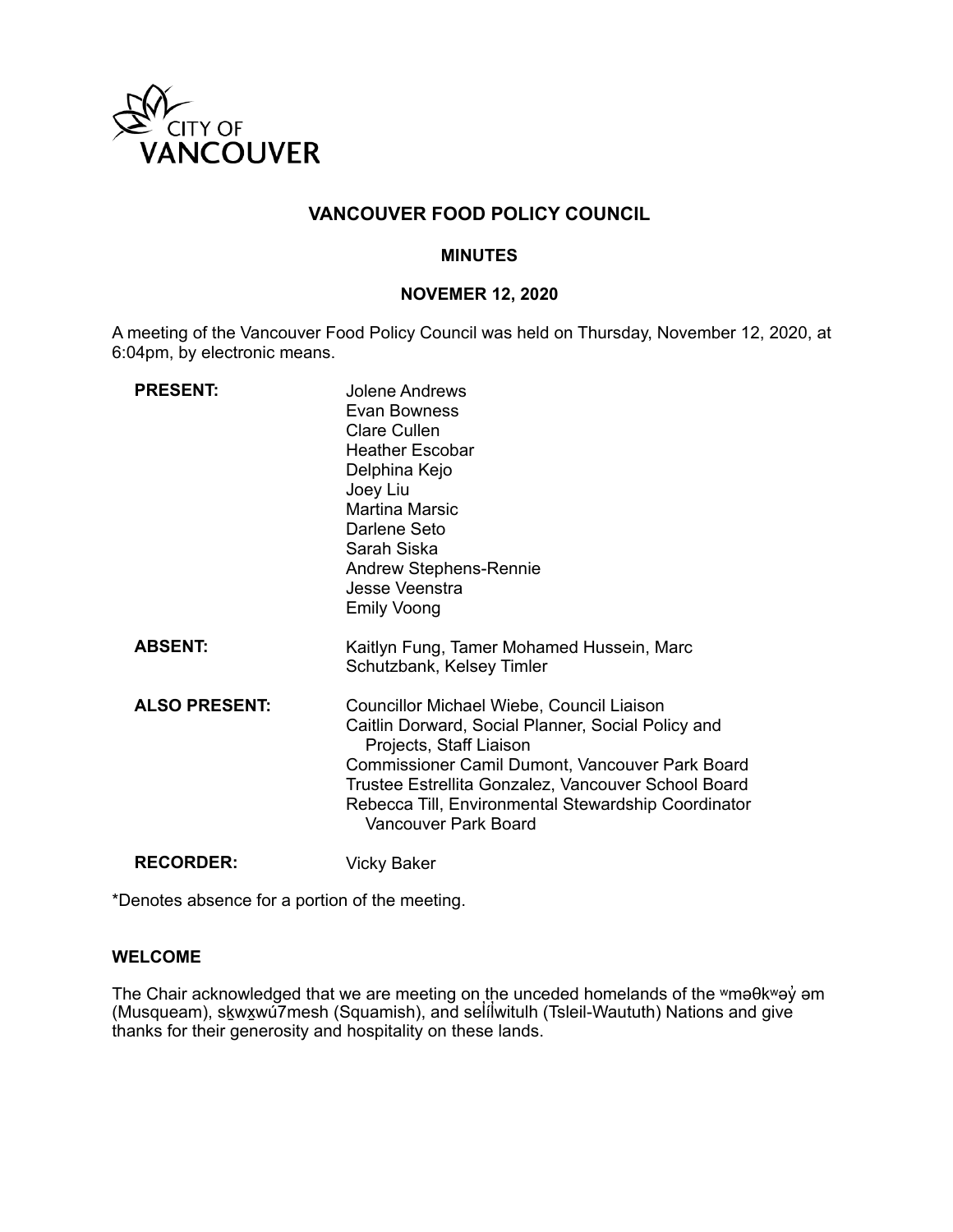

# **VANCOUVER FOOD POLICY COUNCIL**

### **MINUTES**

### **NOVEMER 12, 2020**

A meeting of the Vancouver Food Policy Council was held on Thursday, November 12, 2020, at 6:04pm, by electronic means.

| <b>PRESENT:</b>      | Jolene Andrews<br>Evan Bowness<br><b>Clare Cullen</b><br><b>Heather Escobar</b><br>Delphina Kejo<br>Joey Liu<br><b>Martina Marsic</b><br>Darlene Seto<br>Sarah Siska<br><b>Andrew Stephens-Rennie</b><br>Jesse Veenstra<br><b>Emily Voong</b>                                                                       |
|----------------------|---------------------------------------------------------------------------------------------------------------------------------------------------------------------------------------------------------------------------------------------------------------------------------------------------------------------|
| <b>ABSENT:</b>       | Kaitlyn Fung, Tamer Mohamed Hussein, Marc<br>Schutzbank, Kelsey Timler                                                                                                                                                                                                                                              |
| <b>ALSO PRESENT:</b> | Councillor Michael Wiebe, Council Liaison<br>Caitlin Dorward, Social Planner, Social Policy and<br>Projects, Staff Liaison<br>Commissioner Camil Dumont, Vancouver Park Board<br>Trustee Estrellita Gonzalez, Vancouver School Board<br>Rebecca Till, Environmental Stewardship Coordinator<br>Vancouver Park Board |
| <b>RECORDER:</b>     | Vicky Baker                                                                                                                                                                                                                                                                                                         |

\*Denotes absence for a portion of the meeting.

#### **WELCOME**

The Chair acknowledged that we are meeting on the unceded homelands of the ʷməθkʷəy̓ əm (Musqueam), skౖwx̯wú7mesh (Squamish), and sel̓ílwitulh (Tsleil-Waututh) Nations and give thanks for their generosity and hospitality on these lands.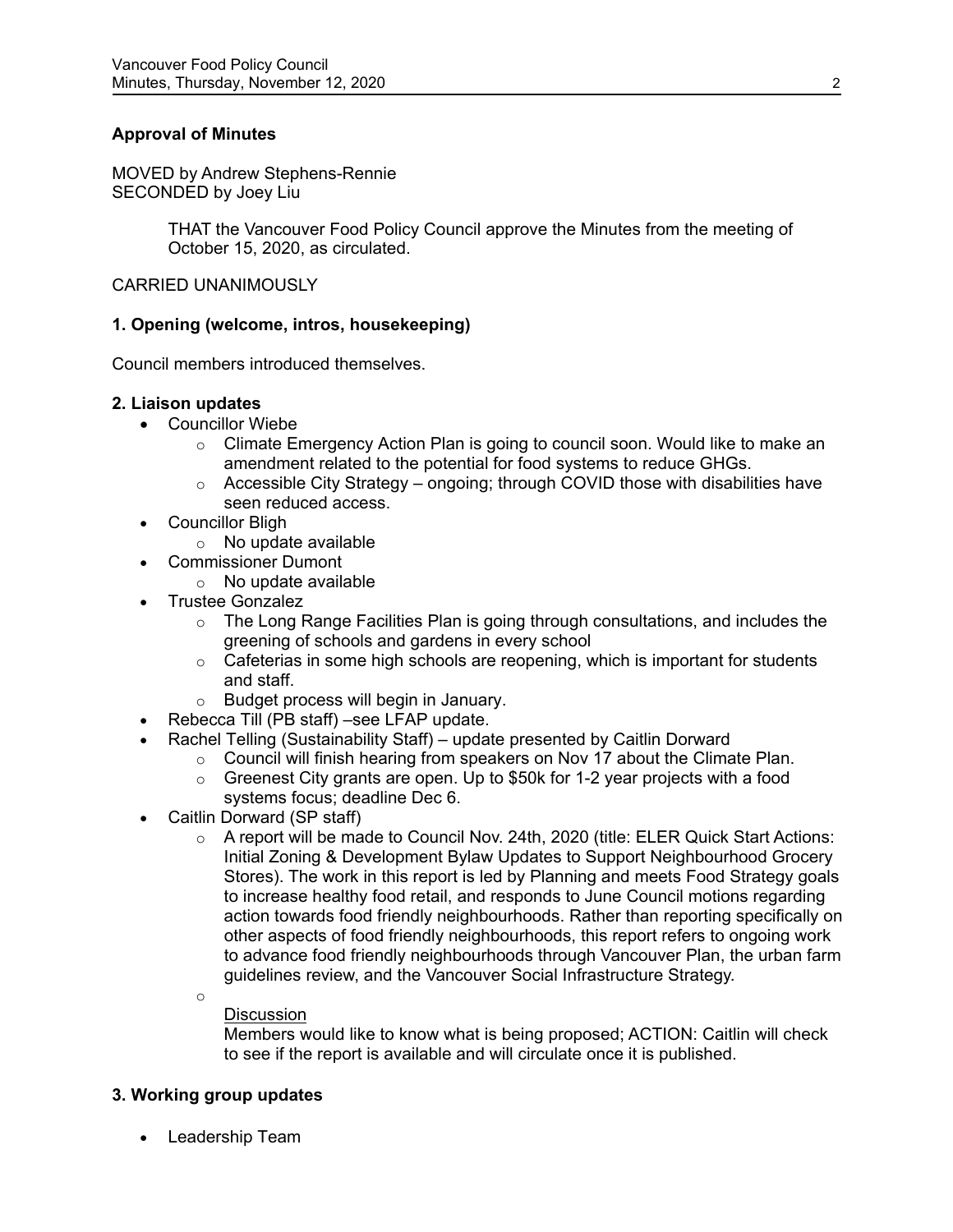## **Approval of Minutes**

MOVED by Andrew Stephens-Rennie SECONDED by Joey Liu

> THAT the Vancouver Food Policy Council approve the Minutes from the meeting of October 15, 2020, as circulated.

#### CARRIED UNANIMOUSLY

### **1. Opening (welcome, intros, housekeeping)**

Council members introduced themselves.

#### **2. Liaison updates**

- Councillor Wiebe
	- $\circ$  Climate Emergency Action Plan is going to council soon. Would like to make an amendment related to the potential for food systems to reduce GHGs.
	- $\circ$  Accessible City Strategy ongoing; through COVID those with disabilities have seen reduced access.
- Councillor Bligh
	- o No update available
- Commissioner Dumont
	- $\circ$  No update available
- Trustee Gonzalez
	- $\circ$  The Long Range Facilities Plan is going through consultations, and includes the greening of schools and gardens in every school
	- $\circ$  Cafeterias in some high schools are reopening, which is important for students and staff.
	- o Budget process will begin in January.
- Rebecca Till (PB staff) –see LFAP update.
- Rachel Telling (Sustainability Staff) update presented by Caitlin Dorward
	- $\circ$  Council will finish hearing from speakers on Nov 17 about the Climate Plan.
		- $\circ$  Greenest City grants are open. Up to \$50k for 1-2 year projects with a food systems focus; deadline Dec 6.
- Caitlin Dorward (SP staff)
	- $\circ$  A report will be made to Council Nov. 24th, 2020 (title: ELER Quick Start Actions: Initial Zoning & Development Bylaw Updates to Support Neighbourhood Grocery Stores). The work in this report is led by Planning and meets Food Strategy goals to increase healthy food retail, and responds to June Council motions regarding action towards food friendly neighbourhoods. Rather than reporting specifically on other aspects of food friendly neighbourhoods, this report refers to ongoing work to advance food friendly neighbourhoods through Vancouver Plan, the urban farm guidelines review, and the Vancouver Social Infrastructure Strategy.

#### o **Discussion**

Members would like to know what is being proposed; ACTION: Caitlin will check to see if the report is available and will circulate once it is published.

### **3. Working group updates**

• Leadership Team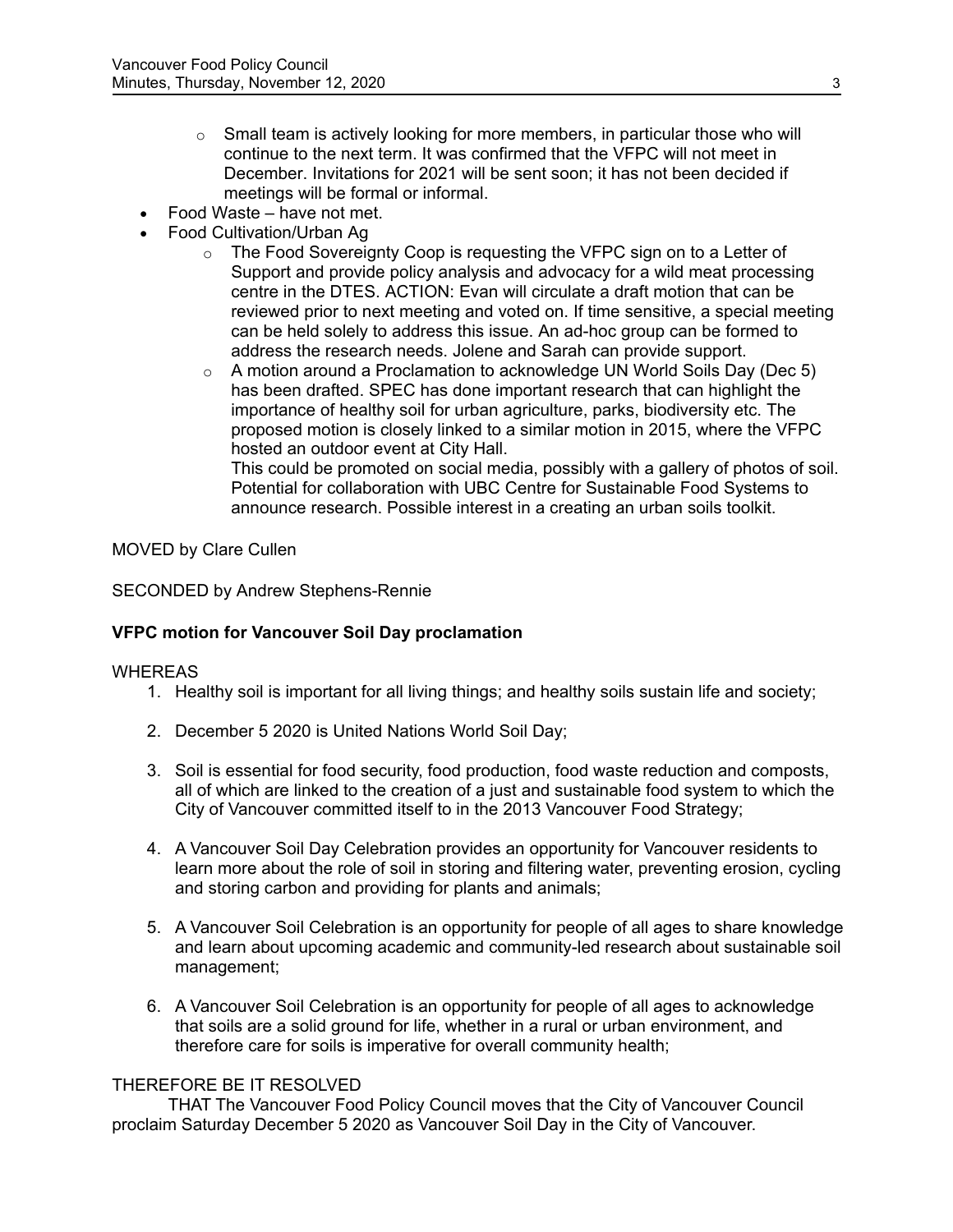- $\circ$  Small team is actively looking for more members, in particular those who will continue to the next term. It was confirmed that the VFPC will not meet in December. Invitations for 2021 will be sent soon; it has not been decided if meetings will be formal or informal.
- Food Waste have not met.
- Food Cultivation/Urban Ag
	- $\circ$  The Food Sovereignty Coop is requesting the VFPC sign on to a Letter of Support and provide policy analysis and advocacy for a wild meat processing centre in the DTES. ACTION: Evan will circulate a draft motion that can be reviewed prior to next meeting and voted on. If time sensitive, a special meeting can be held solely to address this issue. An ad-hoc group can be formed to address the research needs. Jolene and Sarah can provide support.
	- $\circ$  A motion around a Proclamation to acknowledge UN World Soils Day (Dec 5) has been drafted. SPEC has done important research that can highlight the importance of healthy soil for urban agriculture, parks, biodiversity etc. The proposed motion is closely linked to a similar motion in 2015, where the VFPC hosted an outdoor event at City Hall.

This could be promoted on social media, possibly with a gallery of photos of soil. Potential for collaboration with UBC Centre for Sustainable Food Systems to announce research. Possible interest in a creating an urban soils toolkit.

### MOVED by Clare Cullen

### SECONDED by Andrew Stephens-Rennie

### **VFPC motion for Vancouver Soil Day proclamation**

#### WHEREAS

- 1. Healthy soil is important for all living things; and healthy soils sustain life and society;
- 2. December 5 2020 is United Nations World Soil Day;
- 3. Soil is essential for food security, food production, food waste reduction and composts, all of which are linked to the creation of a just and sustainable food system to which the City of Vancouver committed itself to in the 2013 Vancouver Food Strategy;
- 4. A Vancouver Soil Day Celebration provides an opportunity for Vancouver residents to learn more about the role of soil in storing and filtering water, preventing erosion, cycling and storing carbon and providing for plants and animals;
- 5. A Vancouver Soil Celebration is an opportunity for people of all ages to share knowledge and learn about upcoming academic and community-led research about sustainable soil management;
- 6. A Vancouver Soil Celebration is an opportunity for people of all ages to acknowledge that soils are a solid ground for life, whether in a rural or urban environment, and therefore care for soils is imperative for overall community health;

#### THEREFORE BE IT RESOLVED

THAT The Vancouver Food Policy Council moves that the City of Vancouver Council proclaim Saturday December 5 2020 as Vancouver Soil Day in the City of Vancouver.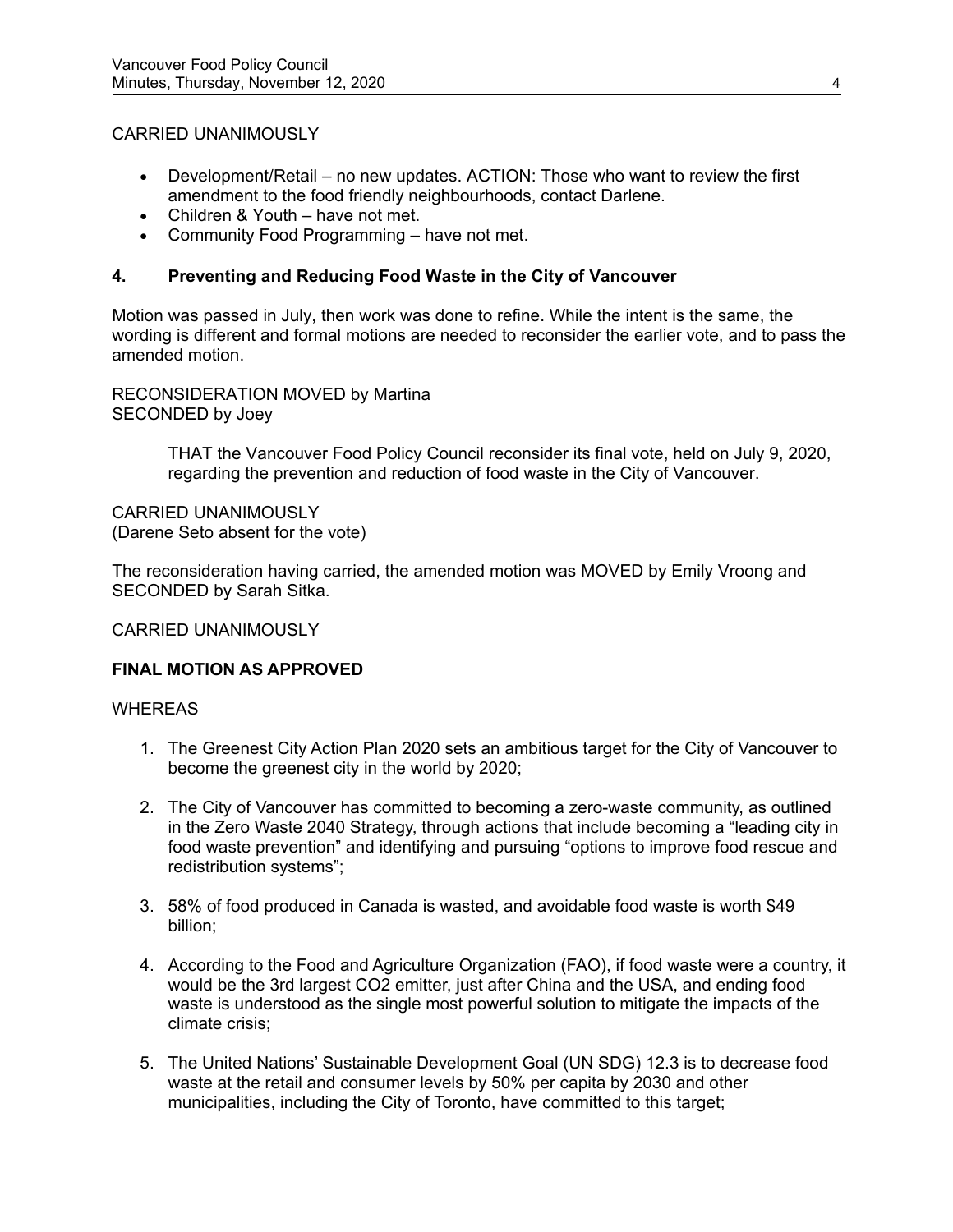### CARRIED UNANIMOUSLY

- Development/Retail no new updates. ACTION: Those who want to review the first amendment to the food friendly neighbourhoods, contact Darlene.
- Children & Youth have not met.
- Community Food Programming have not met.

## **4. Preventing and Reducing Food Waste in the City of Vancouver**

Motion was passed in July, then work was done to refine. While the intent is the same, the wording is different and formal motions are needed to reconsider the earlier vote, and to pass the amended motion.

RECONSIDERATION MOVED by Martina SECONDED by Joey

> THAT the Vancouver Food Policy Council reconsider its final vote, held on July 9, 2020, regarding the prevention and reduction of food waste in the City of Vancouver.

CARRIED UNANIMOUSLY (Darene Seto absent for the vote)

The reconsideration having carried, the amended motion was MOVED by Emily Vroong and SECONDED by Sarah Sitka.

### CARRIED UNANIMOUSLY

### **FINAL MOTION AS APPROVED**

#### WHEREAS

- 1. The Greenest City Action Plan 2020 sets an ambitious target for the City of Vancouver to become the greenest city in the world by 2020;
- 2. The City of Vancouver has committed to becoming a zero-waste community, as outlined in the Zero Waste 2040 Strategy, through actions that include becoming a "leading city in food waste prevention" and identifying and pursuing "options to improve food rescue and redistribution systems";
- 3. 58% of food produced in Canada is wasted, and avoidable food waste is worth \$49 billion;
- 4. According to the Food and Agriculture Organization (FAO), if food waste were a country, it would be the 3rd largest CO2 emitter, just after China and the USA, and ending food waste is understood as the single most powerful solution to mitigate the impacts of the climate crisis;
- 5. The United Nations' Sustainable Development Goal (UN SDG) 12.3 is to decrease food waste at the retail and consumer levels by 50% per capita by 2030 and other municipalities, including the City of Toronto, have committed to this target;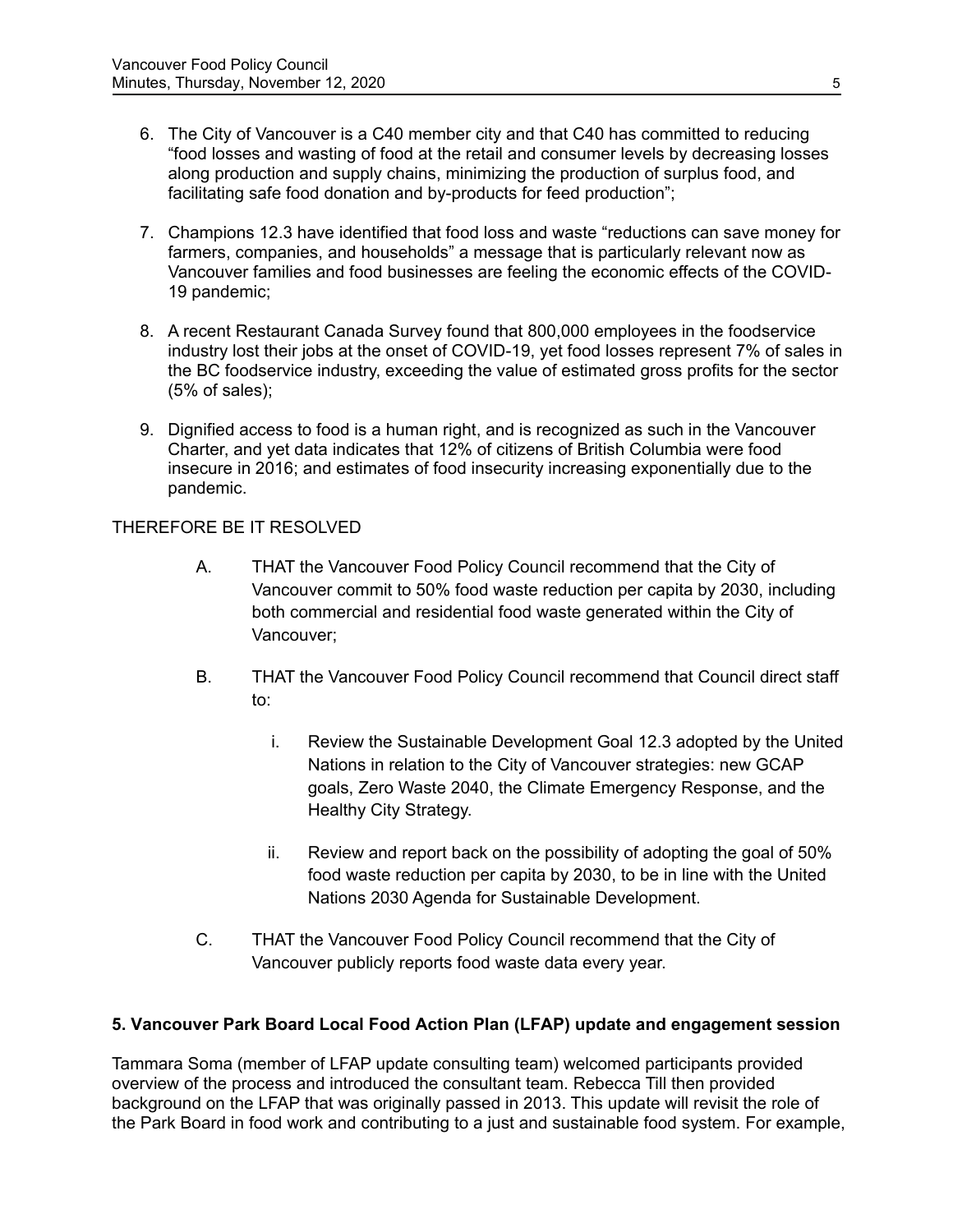- 6. The City of Vancouver is a C40 member city and that C40 has committed to reducing "food losses and wasting of food at the retail and consumer levels by decreasing losses along production and supply chains, minimizing the production of surplus food, and facilitating safe food donation and by-products for feed production";
- 7. Champions 12.3 have identified that food loss and waste "reductions can save money for farmers, companies, and households" a message that is particularly relevant now as Vancouver families and food businesses are feeling the economic effects of the COVID-19 pandemic;
- 8. A recent Restaurant Canada Survey found that 800,000 employees in the foodservice industry lost their jobs at the onset of COVID-19, yet food losses represent 7% of sales in the BC foodservice industry, exceeding the value of estimated gross profits for the sector (5% of sales);
- 9. Dignified access to food is a human right, and is recognized as such in the Vancouver Charter, and yet data indicates that 12% of citizens of British Columbia were food insecure in 2016; and estimates of food insecurity increasing exponentially due to the pandemic.

### THEREFORE BE IT RESOLVED

- A. THAT the Vancouver Food Policy Council recommend that the City of Vancouver commit to 50% food waste reduction per capita by 2030, including both commercial and residential food waste generated within the City of Vancouver;
- B. THAT the Vancouver Food Policy Council recommend that Council direct staff to:
	- i. Review the Sustainable Development Goal 12.3 adopted by the United Nations in relation to the City of Vancouver strategies: new GCAP goals, Zero Waste 2040, the Climate Emergency Response, and the Healthy City Strategy.
	- ii. Review and report back on the possibility of adopting the goal of 50% food waste reduction per capita by 2030, to be in line with the United Nations 2030 Agenda for Sustainable Development.
- C. THAT the Vancouver Food Policy Council recommend that the City of Vancouver publicly reports food waste data every year.

### **5. Vancouver Park Board Local Food Action Plan (LFAP) update and engagement session**

Tammara Soma (member of LFAP update consulting team) welcomed participants provided overview of the process and introduced the consultant team. Rebecca Till then provided background on the LFAP that was originally passed in 2013. This update will revisit the role of the Park Board in food work and contributing to a just and sustainable food system. For example,